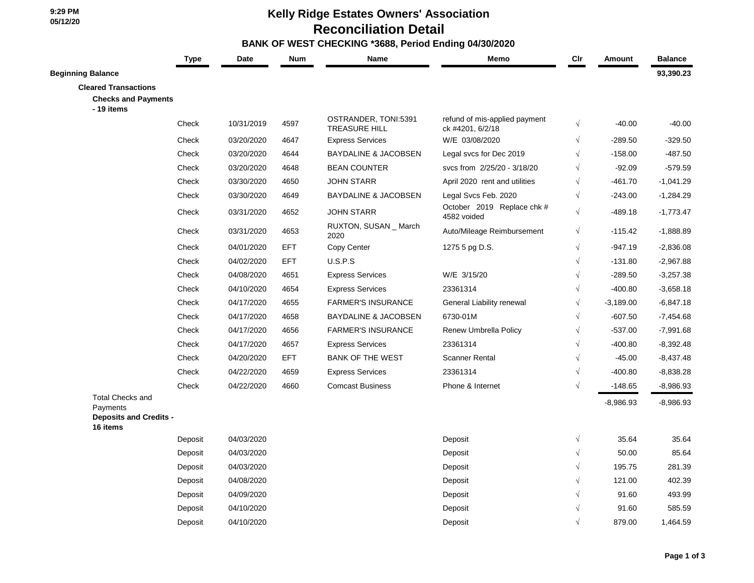## **Kelly Ridge Estates Owners' Association Reconciliation Detail**

## **BANK OF WEST CHECKING \*3688, Period Ending 04/30/2020**

|                                                                                  | <b>Type</b> | <b>Date</b> | <b>Num</b> | Name                                         | Memo                                              | Cir        | Amount      | <b>Balance</b> |
|----------------------------------------------------------------------------------|-------------|-------------|------------|----------------------------------------------|---------------------------------------------------|------------|-------------|----------------|
| <b>Beginning Balance</b>                                                         |             |             |            |                                              |                                                   |            |             | 93,390.23      |
| <b>Cleared Transactions</b>                                                      |             |             |            |                                              |                                                   |            |             |                |
| <b>Checks and Payments</b><br>- 19 items                                         |             |             |            |                                              |                                                   |            |             |                |
|                                                                                  | Check       | 10/31/2019  | 4597       | OSTRANDER, TONI:5391<br><b>TREASURE HILL</b> | refund of mis-applied payment<br>ck #4201, 6/2/18 | $\sqrt{}$  | $-40.00$    | $-40.00$       |
|                                                                                  | Check       | 03/20/2020  | 4647       | <b>Express Services</b>                      | W/E 03/08/2020                                    | $\sqrt{}$  | $-289.50$   | $-329.50$      |
|                                                                                  | Check       | 03/20/2020  | 4644       | <b>BAYDALINE &amp; JACOBSEN</b>              | Legal svcs for Dec 2019                           | $\sqrt{ }$ | $-158.00$   | $-487.50$      |
|                                                                                  | Check       | 03/20/2020  | 4648       | <b>BEAN COUNTER</b>                          | svcs from 2/25/20 - 3/18/20                       | $\sqrt{ }$ | $-92.09$    | $-579.59$      |
|                                                                                  | Check       | 03/30/2020  | 4650       | <b>JOHN STARR</b>                            | April 2020 rent and utilities                     | $\sqrt{ }$ | $-461.70$   | $-1,041.29$    |
|                                                                                  | Check       | 03/30/2020  | 4649       | <b>BAYDALINE &amp; JACOBSEN</b>              | Legal Svcs Feb. 2020                              | $\sqrt{}$  | $-243.00$   | $-1,284.29$    |
|                                                                                  | Check       | 03/31/2020  | 4652       | <b>JOHN STARR</b>                            | October 2019 Replace chk #<br>4582 voided         | $\sqrt{ }$ | $-489.18$   | $-1,773.47$    |
|                                                                                  | Check       | 03/31/2020  | 4653       | RUXTON, SUSAN _ March<br>2020                | Auto/Mileage Reimbursement                        | $\sqrt{}$  | $-115.42$   | $-1,888.89$    |
|                                                                                  | Check       | 04/01/2020  | EFT        | Copy Center                                  | 1275 5 pg D.S.                                    | $\sqrt{}$  | $-947.19$   | $-2,836.08$    |
|                                                                                  | Check       | 04/02/2020  | <b>EFT</b> | U.S.P.S                                      |                                                   | $\sqrt{ }$ | $-131.80$   | $-2,967.88$    |
|                                                                                  | Check       | 04/08/2020  | 4651       | <b>Express Services</b>                      | W/E 3/15/20                                       |            | $-289.50$   | $-3,257.38$    |
|                                                                                  | Check       | 04/10/2020  | 4654       | <b>Express Services</b>                      | 23361314                                          |            | $-400.80$   | $-3,658.18$    |
|                                                                                  | Check       | 04/17/2020  | 4655       | <b>FARMER'S INSURANCE</b>                    | General Liability renewal                         |            | $-3,189.00$ | $-6,847.18$    |
|                                                                                  | Check       | 04/17/2020  | 4658       | <b>BAYDALINE &amp; JACOBSEN</b>              | 6730-01M                                          | $\sqrt{ }$ | $-607.50$   | $-7,454.68$    |
|                                                                                  | Check       | 04/17/2020  | 4656       | <b>FARMER'S INSURANCE</b>                    | Renew Umbrella Policy                             | $\sqrt{ }$ | $-537.00$   | $-7,991.68$    |
|                                                                                  | Check       | 04/17/2020  | 4657       | <b>Express Services</b>                      | 23361314                                          |            | $-400.80$   | $-8,392.48$    |
|                                                                                  | Check       | 04/20/2020  | <b>EFT</b> | <b>BANK OF THE WEST</b>                      | <b>Scanner Rental</b>                             | $\sqrt{ }$ | $-45.00$    | $-8,437.48$    |
|                                                                                  | Check       | 04/22/2020  | 4659       | <b>Express Services</b>                      | 23361314                                          | $\sqrt{ }$ | -400.80     | $-8,838.28$    |
|                                                                                  | Check       | 04/22/2020  | 4660       | <b>Comcast Business</b>                      | Phone & Internet                                  | $\sqrt{ }$ | $-148.65$   | $-8,986.93$    |
| <b>Total Checks and</b><br>Payments<br><b>Deposits and Credits -</b><br>16 items |             |             |            |                                              |                                                   |            | $-8,986.93$ | $-8,986.93$    |
|                                                                                  | Deposit     | 04/03/2020  |            |                                              | Deposit                                           | $\sqrt{ }$ | 35.64       | 35.64          |
|                                                                                  | Deposit     | 04/03/2020  |            |                                              | Deposit                                           | $\sqrt{ }$ | 50.00       | 85.64          |
|                                                                                  | Deposit     | 04/03/2020  |            |                                              | Deposit                                           |            | 195.75      | 281.39         |
|                                                                                  | Deposit     | 04/08/2020  |            |                                              | Deposit                                           |            | 121.00      | 402.39         |
|                                                                                  | Deposit     | 04/09/2020  |            |                                              | Deposit                                           |            | 91.60       | 493.99         |
|                                                                                  | Deposit     | 04/10/2020  |            |                                              | Deposit                                           |            | 91.60       | 585.59         |
|                                                                                  | Deposit     | 04/10/2020  |            |                                              | Deposit                                           |            | 879.00      | 1,464.59       |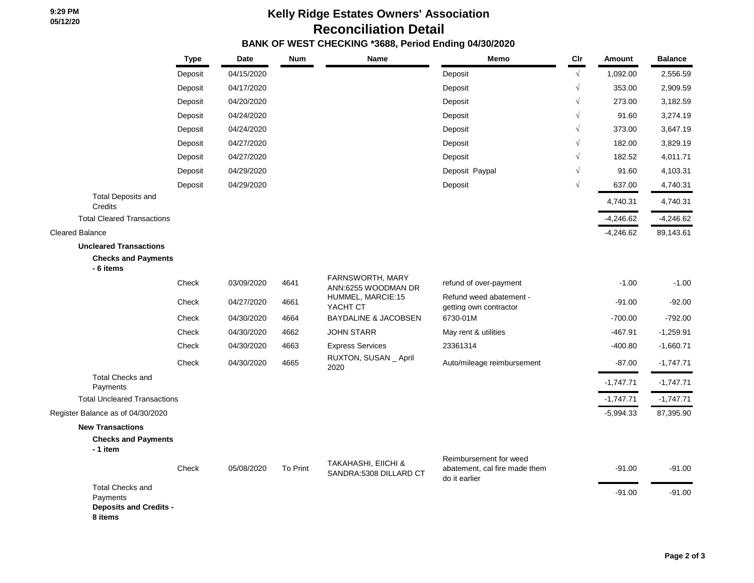## **Kelly Ridge Estates Owners' Association Reconciliation Detail**

 **BANK OF WEST CHECKING \*3688, Period Ending 04/30/2020**

|                                                                                 | <b>Type</b> | Date       | <b>Num</b> | <b>Name</b>                                              | Memo                                                                     | Cir        | Amount      | <b>Balance</b> |
|---------------------------------------------------------------------------------|-------------|------------|------------|----------------------------------------------------------|--------------------------------------------------------------------------|------------|-------------|----------------|
|                                                                                 | Deposit     | 04/15/2020 |            |                                                          | Deposit                                                                  | $\sqrt{ }$ | 1,092.00    | 2,556.59       |
|                                                                                 | Deposit     | 04/17/2020 |            |                                                          | Deposit                                                                  | $\sqrt{ }$ | 353.00      | 2,909.59       |
|                                                                                 | Deposit     | 04/20/2020 |            |                                                          | Deposit                                                                  |            | 273.00      | 3,182.59       |
|                                                                                 | Deposit     | 04/24/2020 |            |                                                          | Deposit                                                                  | $\sqrt{}$  | 91.60       | 3,274.19       |
|                                                                                 | Deposit     | 04/24/2020 |            |                                                          | Deposit                                                                  | $\sqrt{}$  | 373.00      | 3,647.19       |
|                                                                                 | Deposit     | 04/27/2020 |            |                                                          | Deposit                                                                  | $\sqrt{}$  | 182.00      | 3,829.19       |
|                                                                                 | Deposit     | 04/27/2020 |            |                                                          | Deposit                                                                  | $\sqrt{ }$ | 182.52      | 4,011.71       |
|                                                                                 | Deposit     | 04/29/2020 |            |                                                          | Deposit Paypal                                                           | $\sqrt{}$  | 91.60       | 4,103.31       |
|                                                                                 | Deposit     | 04/29/2020 |            |                                                          | Deposit                                                                  | $\sqrt{}$  | 637.00      | 4,740.31       |
| <b>Total Deposits and</b><br>Credits                                            |             |            |            |                                                          |                                                                          |            | 4,740.31    | 4,740.31       |
| <b>Total Cleared Transactions</b>                                               |             |            |            |                                                          |                                                                          |            | $-4,246.62$ | $-4,246.62$    |
| <b>Cleared Balance</b>                                                          |             |            |            |                                                          |                                                                          |            | $-4,246.62$ | 89,143.61      |
| <b>Uncleared Transactions</b>                                                   |             |            |            |                                                          |                                                                          |            |             |                |
| <b>Checks and Payments</b><br>- 6 items                                         |             |            |            |                                                          |                                                                          |            |             |                |
|                                                                                 | Check       | 03/09/2020 | 4641       | FARNSWORTH, MARY<br>ANN:6255 WOODMAN DR                  | refund of over-payment                                                   |            | $-1.00$     | $-1.00$        |
|                                                                                 | Check       | 04/27/2020 | 4661       | HUMMEL, MARCIE:15<br>YACHT CT                            | Refund weed abatement -<br>getting own contractor                        |            | $-91.00$    | $-92.00$       |
|                                                                                 | Check       | 04/30/2020 | 4664       | <b>BAYDALINE &amp; JACOBSEN</b>                          | 6730-01M                                                                 |            | $-700.00$   | $-792.00$      |
|                                                                                 | Check       | 04/30/2020 | 4662       | <b>JOHN STARR</b>                                        | May rent & utilities                                                     |            | $-467.91$   | $-1,259.91$    |
|                                                                                 | Check       | 04/30/2020 | 4663       | <b>Express Services</b>                                  | 23361314                                                                 |            | $-400.80$   | $-1,660.71$    |
|                                                                                 | Check       | 04/30/2020 | 4665       | RUXTON, SUSAN _ April<br>2020                            | Auto/mileage reimbursement                                               |            | $-87.00$    | $-1,747.71$    |
| <b>Total Checks and</b><br>Payments                                             |             |            |            |                                                          |                                                                          |            | $-1,747.71$ | $-1,747.71$    |
| <b>Total Uncleared Transactions</b>                                             |             |            |            |                                                          |                                                                          |            | $-1,747.71$ | $-1,747.71$    |
| Register Balance as of 04/30/2020                                               |             |            |            |                                                          |                                                                          |            | $-5,994.33$ | 87,395.90      |
| <b>New Transactions</b>                                                         |             |            |            |                                                          |                                                                          |            |             |                |
| <b>Checks and Payments</b><br>- 1 item                                          |             |            |            |                                                          |                                                                          |            |             |                |
|                                                                                 | Check       | 05/08/2020 | To Print   | <b>TAKAHASHI, EIICHI &amp;</b><br>SANDRA:5308 DILLARD CT | Reimbursement for weed<br>abatement, cal fire made them<br>do it earlier |            | $-91.00$    | $-91.00$       |
| <b>Total Checks and</b><br>Payments<br><b>Deposits and Credits -</b><br>8 items |             |            |            |                                                          |                                                                          |            | $-91.00$    | $-91.00$       |